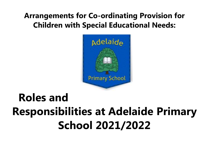## **Arrangements for Co-ordinating Provision for Children with Special Educational Needs:**



# **Roles and Responsibilities at Adelaide Primary School 2021/2022**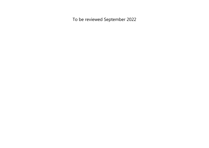To be reviewed September 2022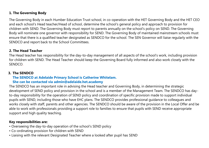#### **1. The Governing Body**

The Governing Body in each Humber Education Trust school, in co-operation with the HET Governing Body and the HET CEO and each school's Head teacher/Head of school, determine the school's general policy and approach to provision for children with SEND. The Governing Body must report to parents annually on the school's policy on SEND. The Governing Body will nominate one governor with responsibility for SEND. The Governing Body of maintained mainstream schools must ensure that there is a qualified teacher designated as SENDCO for the school. The SEN Governor will liaise regularly with the SENDCO and report back to the School Committees.

#### **2. The Head Teacher**

The Head teacher has responsibility for the day-to-day management of all aspects of the school's work, including provision for children with SEND. The Head Teacher should keep the Governing Board fully informed and also work closely with the SENDCO.

#### **3. The SENDCO**

#### **The SENDCO at Adelaide Primary School is Catherine Whitelam.**

#### **She can be contacted via admin@adelaide.het.academy**

The SENDCO has an important role in advising the Head teacher and Governing Body, in determining the strategic development of SEND policy and provision in the school and is a member of the Management Team. The SENDCO has dayto-day responsibility for the operation of SEND policy and coordination of specific provision made to support individual pupils with SEND, including those who have EHC plans. The SENDCO provides professional guidance to colleagues and works closely with staff, parents and other agencies. The SENDCO should be aware of the provision in the Local Offer and be able to work with professionals providing a support role to families to ensure that pupils with SEND receive appropriate support and high quality teaching.

#### **Key responsibilities are:**

- Overseeing the day-to-day operation of the school's SEND policy
- Co-ordinating provision for children with SEND
- Liaising with the relevant Designated Teacher where a looked after pupil has SEND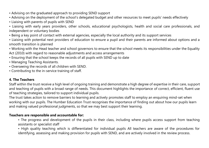- Advising on the graduated approach to providing SEND support
- Advising on the deployment of the school's delegated budget and other resources to meet pupils' needs effectively
- Liaising with parents of pupils with SEND
- Liaising with early years providers, other schools, educational psychologists, health and social care professionals, and independent or voluntary bodies
- Being a key point of contact with external agencies, especially the local authority and its support services
- Liaising with potential next providers of education to ensure a pupil and their parents are informed about options and a smooth transition is planned
- Working with the Head teacher and school governors to ensure that the school meets its responsibilities under the Equality Act (2010) with regard to reasonable adjustments and access arrangements
- Ensuring that the school keeps the records of all pupils with SEND up to date
- Managing Teaching Assistants.
- Overseeing the records of all children with SEND.
- Contributing to the in-service training of staff.

#### **4. The Teachers**

Staff within the trust receive a high level of ongoing training and demonstrate a high degree of expertise in their care, support and teaching of pupils with a broad range of needs. This document highlights the importance of correct, efficient, fluent use of teaching strategies, tailored to support individual pupils.

The trust takes action to remove barriers to learning and actively promotes staff to employ an enquiring mind-set when working with our pupils. The Humber Education Trust recognises the importance of finding out about how our pupils learn and making valued professional judgments, so that we may best support their learning.

#### **Teachers are responsible and accountable for:**

- The progress and development of the pupils in their class, including where pupils access support from teaching assistants or specialist staff
- High quality teaching which is differentiated for individual pupils All teachers are aware of the procedures for identifying, assessing and making provision for pupils with SEND, and are actively involved in the review process.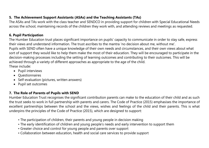#### **5. The Achievement Support Assistants (ASAs) and the Teaching Assistants (TAs)**

The ASAs and TAs work with the class teacher and SENDCO in providing support for children with Special Educational Needs across the school, maintaining records of the children they work with, and attending reviews and meetings as requested.

#### **6. Pupil Participation**

The Humber Education trust places significant importance on pupils' capacity to communicate in order to stay safe, express their views and understand information. The trust ascribes to the mantra 'no decision about me, without me'. Pupils with SEND often have a unique knowledge of their own needs and circumstances, and their own views about what sort of support they would like to help them make the most of their education. They will be encouraged to participate in the decision-making processes including the setting of learning outcomes and contributing to their outcomes. This will be achieved through a variety of different approaches as appropriate to the age of the child. These include:

- Pupil interviews
- Questionnaires
- Self-evaluation (pictures, written answers)
- Pupil set outcomes

### **7. The Role of Parents of Pupils with SEND**

Humber Education Trust recognises the significant contribution parents can make to the education of their child and as such the trust seeks to work in full partnership with parents and carers. The Code of Practice (2015) emphasises the importance of excellent partnerships between the school and the views, wishes and feelings of the child and their parents. This is what underpins the principles of the Code of Practice (2015), which are designed to support:

- The participation of children, their parents and young people in decision making
- The early identification of children and young people's needs and early intervention to support them
- Greater choice and control for young people and parents over support
- Collaboration between education, health and social care services to provide support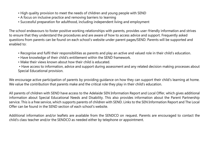- High quality provision to meet the needs of children and young people with SEND
- A focus on inclusive practice and removing barriers to learning
- Successful preparation for adulthood, including independent living and employment

The school endeavours to foster positive working relationships with parents, provides user-friendly information and strives to ensure that they understand the procedures and are aware of how to access advice and support. Frequently asked questions from parents can be found on each school's website under parent pages/SEND. Parents will be supported and enabled to:

- Recognise and fulfil their responsibilities as parents and play an active and valued role in their child's education.
- Have knowledge of their child's entitlement within the SEND framework.
- Make their views known about how their child is educated.

• Have access to information, advice and support during assessment and any related decision making processes about Special Educational provision.

We encourage active participation of parents by providing guidance on how they can support their child's learning at home. We value the contribution that parents make and the critical role they play in their child's education.

All parents of children with SEND have access to the Adelaide SEN Information Report and Local Offer, which gives additional information about Special Educational Needs and Disability. This also provides information about the Parent Partnership service. This is a free service, which supports parents of children with SEND. Links to the SEN Information Report and The Local Offer can be found in the SEND section of each school's website.

Additional information and/or leaflets are available from the SENDCO on request. Parents are encouraged to contact the child's class teacher and/or the SENDCO as needed either by telephone or appointment.